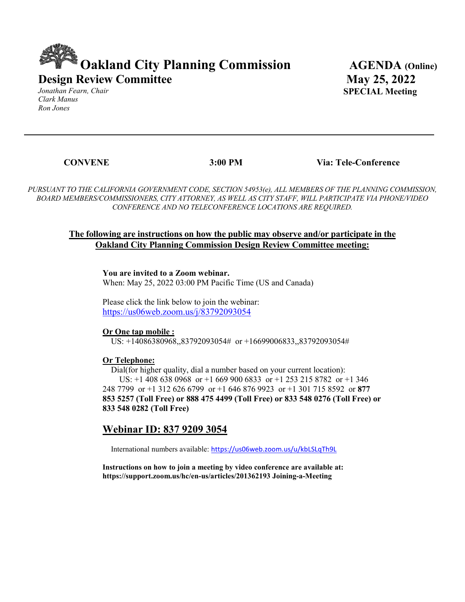# **Oakland City Planning Commission AGENDA (Online) Design Review Committee**

*Jonathan Fearn, Chair Clark Manus Ron Jones* 

 **May 25, 2022 SPECIAL Meeting**

 **CONVENE 3:00 PM Via: Tele-Conference**

*PURSUANT TO THE CALIFORNIA GOVERNMENT CODE, SECTION 54953(e), ALL MEMBERS OF THE PLANNING COMMISSION, BOARD MEMBERS/COMMISSIONERS, CITY ATTORNEY, AS WELL AS CITY STAFF, WILL PARTICIPATE VIA PHONE/VIDEO CONFERENCE AND NO TELECONFERENCE LOCATIONS ARE REQUIRED.*

#### **The following are instructions on how the public may observe and/or participate in the Oakland City Planning Commission Design Review Committee meeting:**

**You are invited to a Zoom webinar.** 

When: May 25, 2022 03:00 PM Pacific Time (US and Canada)

Please click the link below to join the webinar: <https://us06web.zoom.us/j/83792093054>

**Or One tap mobile :** 

US: +14086380968,,83792093054# or +16699006833,,83792093054#

#### **Or Telephone:**

 Dial(for higher quality, dial a number based on your current location): US: +1 408 638 0968 or +1 669 900 6833 or +1 253 215 8782 or +1 346 248 7799 or +1 312 626 6799 or +1 646 876 9923 or +1 301 715 8592 or **877 853 5257 (Toll Free) or 888 475 4499 (Toll Free) or 833 548 0276 (Toll Free) or 833 548 0282 (Toll Free)** 

## **Webinar ID: 837 9209 3054**

International numbers available: <https://us06web.zoom.us/u/kbLSLqTh9L>

**Instructions on how to join a meeting by video conference are available at: https://support.zoom.us/hc/en-us/articles/201362193 Joining-a-Meeting**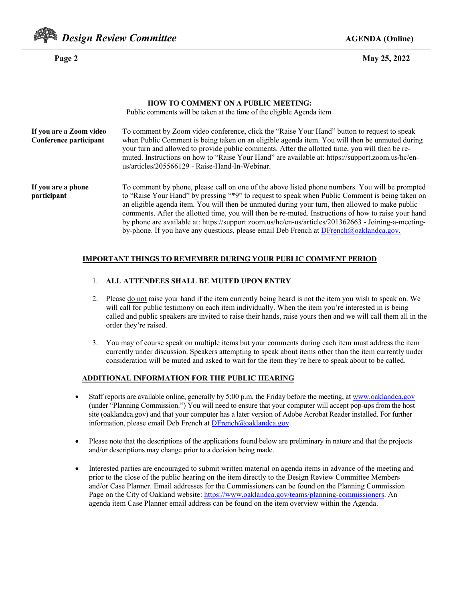

**Page 2 May 25, 2022** 

|                                                   | <b>HOW TO COMMENT ON A PUBLIC MEETING:</b><br>Public comments will be taken at the time of the eligible Agenda item.                                                                                                                                                                                                                                                                                                                                                                                                                                                                                                |
|---------------------------------------------------|---------------------------------------------------------------------------------------------------------------------------------------------------------------------------------------------------------------------------------------------------------------------------------------------------------------------------------------------------------------------------------------------------------------------------------------------------------------------------------------------------------------------------------------------------------------------------------------------------------------------|
| If you are a Zoom video<br>Conference participant | To comment by Zoom video conference, click the "Raise Your Hand" button to request to speak<br>when Public Comment is being taken on an eligible agenda item. You will then be unmuted during<br>your turn and allowed to provide public comments. After the allotted time, you will then be re-<br>muted. Instructions on how to "Raise Your Hand" are available at: https://support.zoom.us/hc/en-<br>us/articles/205566129 - Raise-Hand-In-Webinar.                                                                                                                                                              |
| If you are a phone<br>participant                 | To comment by phone, please call on one of the above listed phone numbers. You will be prompted<br>to "Raise Your Hand" by pressing "*9" to request to speak when Public Comment is being taken on<br>an eligible agenda item. You will then be unmuted during your turn, then allowed to make public<br>comments. After the allotted time, you will then be re-muted. Instructions of how to raise your hand<br>by phone are available at: https://support.zoom.us/hc/en-us/articles/201362663 - Joining-a-meeting-<br>by-phone. If you have any questions, please email Deb French at $DFrench(Q)$ oaklandca.gov. |

#### **IMPORTANT THINGS TO REMEMBER DURING YOUR PUBLIC COMMENT PERIOD**

- 1. **ALL ATTENDEES SHALL BE MUTED UPON ENTRY**
- 2. Please do not raise your hand if the item currently being heard is not the item you wish to speak on. We will call for public testimony on each item individually. When the item you're interested in is being called and public speakers are invited to raise their hands, raise yours then and we will call them all in the order they're raised.
- 3. You may of course speak on multiple items but your comments during each item must address the item currently under discussion. Speakers attempting to speak about items other than the item currently under consideration will be muted and asked to wait for the item they're here to speak about to be called.

#### **ADDITIONAL INFORMATION FOR THE PUBLIC HEARING**

- Staff reports are available online, generally by 5:00 p.m. the Friday before the meeting, a[t www.oaklandca.gov](http://www.oaklandca.gov/) (under "Planning Commission.") You will need to ensure that your computer will accept pop-ups from the host site (oaklandca.gov) and that your computer has a later version of Adobe Acrobat Reader installed. For further information, please email Deb French at **DFrench@oaklandca.gov**.
- Please note that the descriptions of the applications found below are preliminary in nature and that the projects and/or descriptions may change prior to a decision being made.
- Interested parties are encouraged to submit written material on agenda items in advance of the meeting and prior to the close of the public hearing on the item directly to the Design Review Committee Members and/or Case Planner. Email addresses for the Commissioners can be found on the Planning Commission Page on the City of Oakland website: [https://www.oaklandca.gov/teams/planning-commissioners.](https://www.oaklandca.gov/teams/planning-commissioners) An agenda item Case Planner email address can be found on the item overview within the Agenda.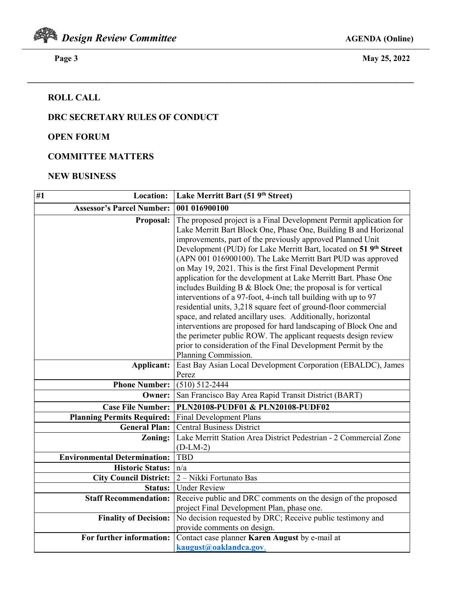

 **Page 3 May 25, 2022** 

# **ROLL CALL**

# **DRC SECRETARY RULES OF CONDUCT**

### **OPEN FORUM**

# **COMMITTEE MATTERS**

#### **NEW BUSINESS**

| #1<br>Location:                     | Lake Merritt Bart (51 9 <sup>th</sup> Street)                                                                                                                                                                                                                                                                                                                                                                                                                                                                                                                                                                                                                                                                                                                                                                                                                                                                                                                                              |
|-------------------------------------|--------------------------------------------------------------------------------------------------------------------------------------------------------------------------------------------------------------------------------------------------------------------------------------------------------------------------------------------------------------------------------------------------------------------------------------------------------------------------------------------------------------------------------------------------------------------------------------------------------------------------------------------------------------------------------------------------------------------------------------------------------------------------------------------------------------------------------------------------------------------------------------------------------------------------------------------------------------------------------------------|
| <b>Assessor's Parcel Number:</b>    | 001 016900100                                                                                                                                                                                                                                                                                                                                                                                                                                                                                                                                                                                                                                                                                                                                                                                                                                                                                                                                                                              |
| Proposal:                           | The proposed project is a Final Development Permit application for<br>Lake Merritt Bart Block One, Phase One, Building B and Horizonal<br>improvements, part of the previously approved Planned Unit<br>Development (PUD) for Lake Merritt Bart, located on 51 9 <sup>th</sup> Street<br>(APN 001 016900100). The Lake Merritt Bart PUD was approved<br>on May 19, 2021. This is the first Final Development Permit<br>application for the development at Lake Merritt Bart. Phase One<br>includes Building B & Block One; the proposal is for vertical<br>interventions of a 97-foot, 4-inch tall building with up to 97<br>residential units, 3,218 square feet of ground-floor commercial<br>space, and related ancillary uses. Additionally, horizontal<br>interventions are proposed for hard landscaping of Block One and<br>the perimeter public ROW. The applicant requests design review<br>prior to consideration of the Final Development Permit by the<br>Planning Commission. |
| Applicant:                          | East Bay Asian Local Development Corporation (EBALDC), James<br>Perez                                                                                                                                                                                                                                                                                                                                                                                                                                                                                                                                                                                                                                                                                                                                                                                                                                                                                                                      |
| <b>Phone Number:</b>                | $(510) 512 - 2444$                                                                                                                                                                                                                                                                                                                                                                                                                                                                                                                                                                                                                                                                                                                                                                                                                                                                                                                                                                         |
| Owner:                              | San Francisco Bay Area Rapid Transit District (BART)                                                                                                                                                                                                                                                                                                                                                                                                                                                                                                                                                                                                                                                                                                                                                                                                                                                                                                                                       |
| <b>Case File Number:</b>            | PLN20108-PUDF01 & PLN20108-PUDF02                                                                                                                                                                                                                                                                                                                                                                                                                                                                                                                                                                                                                                                                                                                                                                                                                                                                                                                                                          |
| <b>Planning Permits Required:</b>   | <b>Final Development Plans</b>                                                                                                                                                                                                                                                                                                                                                                                                                                                                                                                                                                                                                                                                                                                                                                                                                                                                                                                                                             |
| <b>General Plan:</b>                | <b>Central Business District</b>                                                                                                                                                                                                                                                                                                                                                                                                                                                                                                                                                                                                                                                                                                                                                                                                                                                                                                                                                           |
| Zoning:                             | Lake Merritt Station Area District Pedestrian - 2 Commercial Zone<br>$(D-LM-2)$                                                                                                                                                                                                                                                                                                                                                                                                                                                                                                                                                                                                                                                                                                                                                                                                                                                                                                            |
| <b>Environmental Determination:</b> | <b>TBD</b>                                                                                                                                                                                                                                                                                                                                                                                                                                                                                                                                                                                                                                                                                                                                                                                                                                                                                                                                                                                 |
| <b>Historic Status:</b>             | n/a                                                                                                                                                                                                                                                                                                                                                                                                                                                                                                                                                                                                                                                                                                                                                                                                                                                                                                                                                                                        |
| <b>City Council District:</b>       | 2 - Nikki Fortunato Bas                                                                                                                                                                                                                                                                                                                                                                                                                                                                                                                                                                                                                                                                                                                                                                                                                                                                                                                                                                    |
| Status:                             | <b>Under Review</b>                                                                                                                                                                                                                                                                                                                                                                                                                                                                                                                                                                                                                                                                                                                                                                                                                                                                                                                                                                        |
| <b>Staff Recommendation:</b>        | Receive public and DRC comments on the design of the proposed<br>project Final Development Plan, phase one.                                                                                                                                                                                                                                                                                                                                                                                                                                                                                                                                                                                                                                                                                                                                                                                                                                                                                |
| <b>Finality of Decision:</b>        | No decision requested by DRC; Receive public testimony and<br>provide comments on design.                                                                                                                                                                                                                                                                                                                                                                                                                                                                                                                                                                                                                                                                                                                                                                                                                                                                                                  |
| For further information:            | Contact case planner Karen August by e-mail at<br>kaugust@oaklandca.gov.                                                                                                                                                                                                                                                                                                                                                                                                                                                                                                                                                                                                                                                                                                                                                                                                                                                                                                                   |

**\_\_\_\_\_\_\_\_\_\_\_\_\_\_\_\_\_\_\_\_\_\_\_\_\_\_\_\_\_\_\_\_\_\_\_\_\_\_\_\_\_\_\_\_\_\_\_\_\_\_\_\_\_\_\_\_\_\_\_\_\_\_\_\_\_\_\_\_\_\_\_\_\_\_\_\_\_\_\_\_\_\_\_\_\_\_\_**